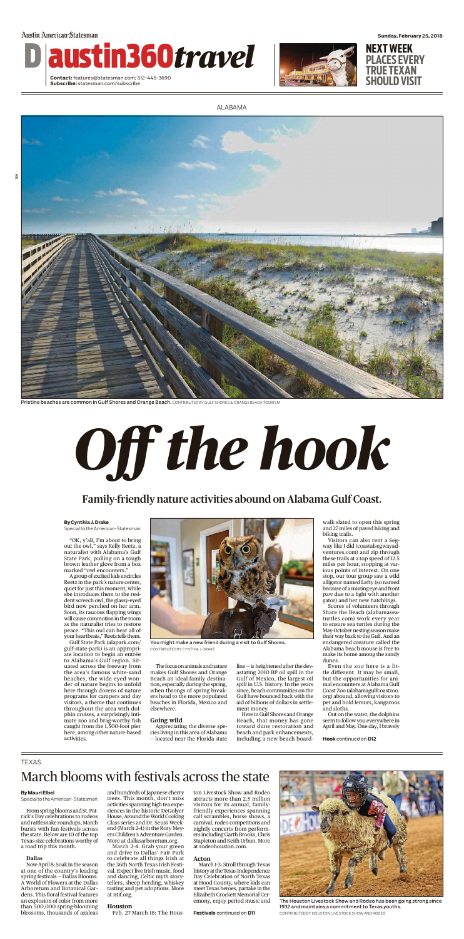

Pristine beaches are common in Gulf Shores and Orange Beach. CONTRIBUTED BY GULF SHORES & ORANGE BEACH TOURISM

Austin American-Statesman

D austin360*travel*

**Contact:** features@statesman.com; 512-445-3690 **Subscribe:** statesman.com/subscribe



**Sunday, February 25, 2018 NEXT WEEK**

**PLACES EVERY TRUE TEXAN SHOULD VISIT**

**By Cynthia J.Drake**

A group of excited kids encircles Reetz in the park's nature center, quiet for just this moment, while she introduces them to the resident screech owl, the glassy-eyed bird now perched on her arm. Soon, its raucous flapping wings will cause commotion in the room as the naturalist tries to restore peace. "This owl can hear all of your heartbeats," Reetz tells them.

Special to theAmerican-Statesman

"OK, y'all, I'm about to bring out the owl," says Kelly Reetz, a naturalist with Alabama's Gulf State Park, pulling on a tough brown leather glove from a box marked "owl encounters."

> The focus on animals and nature makes Gulf Shores and Orange Beach an ideal family destination, especially during the spring, when throngs of spring breakers head to the more populated beaches in Florida, Mexico and elsewhere.

Gulf State Park (alapark.com/ gulf-state-park) is an appropriate location to begin an entrée to Alabama's Gulf region. Situated across the freeway from the area's famous white-sand beaches, the wide-eyed wonder of nature begins to unfold here through dozens of nature programs for campers and day visitors, a theme that continues throughout the area with dolphin cruises, a surprisingly intimate zoo and brag-worthy fish caught from the 1,500-foot pier here, among other nature-based activities.

### **Going wild**

Appreciating the diverse species living in this area of Alabama — located near the Florida state

line — is heightened after the devastating 2010 BP oil spill in the Gulf of Mexico, the largest oil spill in U.S. history. In the years since, beach communities on the Gulf have bounced back with the aid of billions of dollars in settlement money.

Here in Gulf Shores and Orange Beach, that money has gone toward dune restoration and beach and park enhancements, including a new beach boardwalk slated to open this spring

and 27 miles of paved hiking and biking trails.

Visitors can also rent a Segway like I did (coastalsegwayadventures.com) and zip through these trails at a top speed of 12.5 miles per hour, stopping at various points of interest. On one stop, our tour group saw a wild alligator named Lefty (so named because of amissing eye and front paw due to a fight with another gator) and her new hatchlings.

Scores of volunteers through Share the Beach (alabamaseaturtles.com) work every year to ensure sea turtles during the May-October nesting season make their way back to the Gulf. And an endangered creature called the Alabama beach mouse is free to make its home among the sandy dunes.

Even the zoo here is a little different. It may be small, but the opportunities for animal encounters at Alabama Gulf Coast Zoo (alabamagulfcoastzoo. org) abound, allowing visitors to pet and hold lemurs, kangaroos and sloths.

Out on the water, the dolphins seem to follow you everywhere in April and May. One day, I bravely





Family-friendly nature activities abound on Alabama Gulf Coast.

### TEXAS

#### **ByMauri Elbel**

Special to theAmerican-Statesman

From spring blooms and St. Patrick's Day celebrations to rodeos and rattlesnake roundups, March bursts with fun festivals across the state. Below are 10 of the top Texas-size celebrations worthy of a road trip this month.

### **Dallas**

Now-April 8: Soak in the season at one of the country's leading spring festivals — Dallas Blooms: A World of Flowers at the Dallas Arboretum and Botanical Gardens. This floral festival features an explosion of color from more than 500,000 spring-blooming blossoms, thousands of azaleas

and hundreds of Japanese cherry trees. This month, don't miss activities spanning high tea experiences in the historic DeGolyer House, Around the World Cooking Class series and Dr. Seuss Weekend (March 2-4) in the Rory Meyers Children's Adventure Garden. More at dallasarboretum.org.

March 2-4: Grab your green and drive to Dallas' Fair Park to celebrate all things Irish at the 36th North Texas Irish Festival. Expect live Irish music, food and dancing, Celtic myth storytellers, sheep herding, whiskey tasting and pet adoptions. More at ntif.org.

#### **Houston**

Feb. 27-March 18: The Hous-

ton Livestock Show and Rodeo attracts more than 2.5 million visitors for its annual, familyfriendly experiences spanning calf scrambles, horse shows, a carnival, rodeo competitions and nightly concerts from performers including Garth Brooks, Chris Stapleton and Keith Urban. More at rodeohouston.com.

#### **Acton**

March 1-3: Stroll through Texas history at the Texas Independence Day Celebration of North Texas at Hood County, where kids can meet Texas heroes, partake in the Elizabeth Crockett Memorial Ceremony, enjoy period music and

# March blooms with festivals across the state



The Houston Livestock Show and Rodeo has been going strong since 1932 and maintains a commitment to Texas youths. CONTRIBUTED BY HOUSTON LIVESTOCK SHOW AND RODEO



You might make a new friend during a visit to Gulf Shores. CONTRIBUTED BY CYNTHIA J. DRAKE

**Festivals** continued on **D11**

**Hook** continued on **D12**